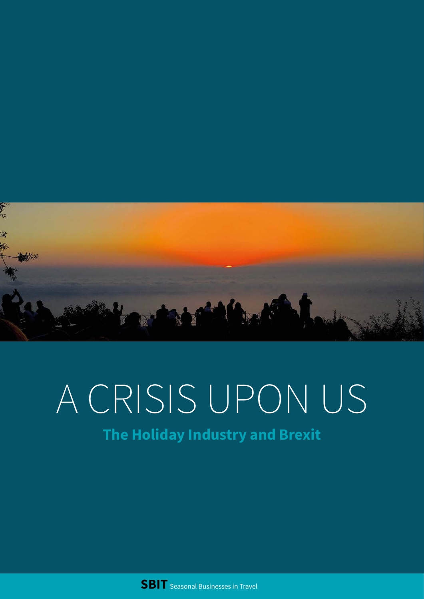

# A CRISIS UPON US

### **The Holiday Industry and Brexit**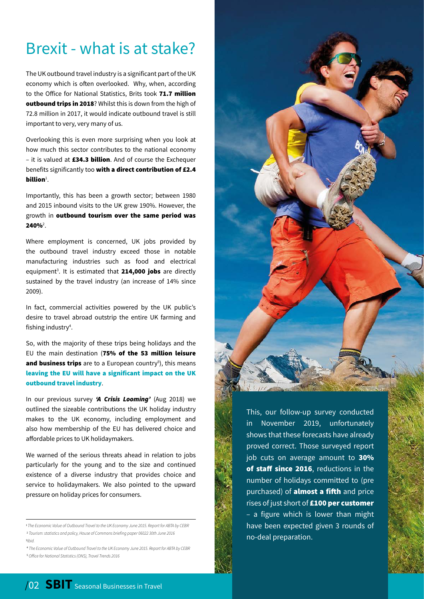## Brexit - what is at stake?

The UK outbound travel industry is a significant part of the UK economy which is often overlooked. Why, when, according to the Office for National Statistics, Brits took 71.7 million outbound trips in 2018? Whilst this is down from the high of 72.8 million in 2017, it would indicate outbound travel is still important to very, very many of us.

Overlooking this is even more surprising when you look at how much this sector contributes to the national economy – it is valued at £34.3 billion. And of course the Exchequer benefits significantly too with a direct contribution of £2.4 billion $^1$ .

Importantly, this has been a growth sector; between 1980 and 2015 inbound visits to the UK grew 190%. However, the growth in outbound tourism over the same period was  $240\%$ <sup>2</sup>.

Where employment is concerned, UK jobs provided by the outbound travel industry exceed those in notable manufacturing industries such as food and electrical equipment<sup>3</sup>. It is estimated that 214,000 jobs are directly sustained by the travel industry (an increase of 14% since 2009).

In fact, commercial activities powered by the UK public's desire to travel abroad outstrip the entire UK farming and fishing industry<sup>4</sup>.

So, with the majority of these trips being holidays and the EU the main destination (75% of the 53 million leisure and business trips are to a European country<sup>5</sup>), this means leaving the EU will have a significant impact on the UK outbound travel industry.

In our previous survey *'A Crisis Looming'* (Aug 2018) we outlined the sizeable contributions the UK holiday industry makes to the UK economy, including employment and also how membership of the EU has delivered choice and affordable prices to UK holidaymakers.

We warned of the serious threats ahead in relation to jobs particularly for the young and to the size and continued existence of a diverse industry that provides choice and service to holidaymakers. We also pointed to the upward pressure on holiday prices for consumers.

4  *The Economic Value of Outbound Travel to the UK Economy June 2015. Report for ABTA by CEBR* 5  *Office for National Statistics (ONS), Travel Trends 2016*



This, our follow-up survey conducted in November 2019, unfortunately shows that these forecasts have already proved correct. Those surveyed report job cuts on average amount to 30% of staff since 2016, reductions in the number of holidays committed to (pre purchased) of **almost a fifth** and price rises of just short of £100 per customer – a figure which is lower than might have been expected given 3 rounds of no-deal preparation.

<sup>1</sup>*The Economic Value of Outbound Travel to the UK Economy June 2015. Report for ABTA by CEBR* 2  *Tourism: statistics and policy, House of Commons briefing paper 06022 30th June 2016* 3 *Ibid.*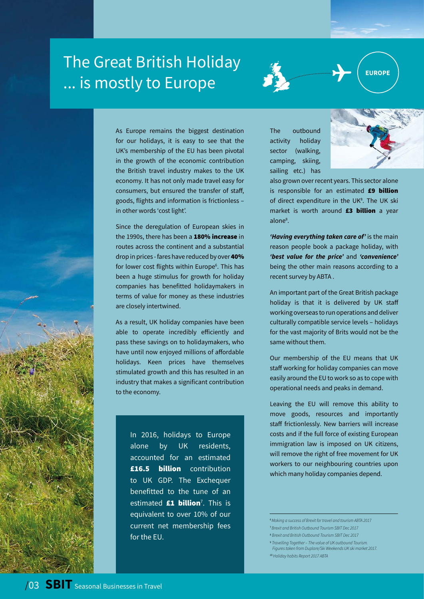# The Great British Holiday ... is mostly to Europe



**EUROPE**



As Europe remains the biggest destination for our holidays, it is easy to see that the UK's membership of the EU has been pivotal in the growth of the economic contribution the British travel industry makes to the UK economy. It has not only made travel easy for consumers, but ensured the transfer of staff, goods, flights and information is frictionless – in other words 'cost light'.

Since the deregulation of European skies in the 1990s, there has been a 180% increase in routes across the continent and a substantial drop in prices - fares have reduced by over 40% for lower cost flights within Europe<sup>6</sup>. This has been a huge stimulus for growth for holiday companies has benefitted holidaymakers in terms of value for money as these industries are closely intertwined.

As a result, UK holiday companies have been able to operate incredibly efficiently and pass these savings on to holidaymakers, who have until now enjoyed millions of affordable holidays. Keen prices have themselves stimulated growth and this has resulted in an industry that makes a significant contribution to the economy.

In 2016, holidays to Europe alone by UK residents, accounted for an estimated £16.5 billion contribution to UK GDP. The Exchequer benefitted to the tune of an estimated **£1 billion**<sup>7</sup>. This is equivalent to over 10% of our current net membership fees for the EU.

The outbound activity holiday sector (walking, camping, skiing, sailing etc.) has



also grown over recent years. This sector alone is responsible for an estimated £9 billion of direct expenditure in the UK<sup>8</sup>. The UK ski market is worth around £3 billion a year alone<sup>8</sup>.

*'Having everything taken care of'* is the main reason people book a package holiday, with *'best value for the price'* and *'convenience'* being the other main reasons according to a recent survey by ABTA .

An important part of the Great British package holiday is that it is delivered by UK staff working overseas to run operations and deliver culturally compatible service levels – holidays for the vast majority of Brits would not be the same without them.

Our membership of the EU means that UK staff working for holiday companies can move easily around the EU to work so as to cope with operational needs and peaks in demand.

Leaving the EU will remove this ability to move goods, resources and importantly staff frictionlessly. New barriers will increase costs and if the full force of existing European immigration law is imposed on UK citizens, will remove the right of free movement for UK workers to our neighbouring countries upon which many holiday companies depend.

<sup>6</sup>*Making a success of Brexit for travel and tourism ABTA 2017*

- <sup>7</sup>*Brexit and British Outbound Tourism SBIT Dec 2017*
- 8  *Brexit and British Outbound Tourism SBIT Dec 2017*
- 9  *Travelling Together The value of UK outbound Tourism. Figures taken from Duplare/Ski Weekends UK ski market 2017.*
- <sup>10</sup> *Holiday habits Report 2017 ABTA*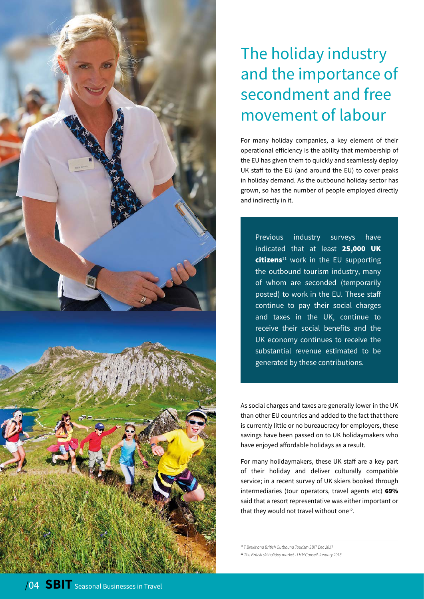

# The holiday industry and the importance of secondment and free movement of labour

For many holiday companies, a key element of their operational efficiency is the ability that membership of the EU has given them to quickly and seamlessly deploy UK staff to the EU (and around the EU) to cover peaks in holiday demand. As the outbound holiday sector has grown, so has the number of people employed directly and indirectly in it.

Previous industry surveys have indicated that at least 25,000 UK  $citizen<sup>11</sup>$  work in the EU supporting the outbound tourism industry, many of whom are seconded (temporarily posted) to work in the EU. These staff continue to pay their social charges and taxes in the UK, continue to receive their social benefits and the UK economy continues to receive the substantial revenue estimated to be generated by these contributions.

As social charges and taxes are generally lower in the UK than other EU countries and added to the fact that there is currently little or no bureaucracy for employers, these savings have been passed on to UK holidaymakers who have enjoyed affordable holidays as a result.

For many holidaymakers, these UK staff are a key part of their holiday and deliver culturally compatible service; in a recent survey of UK skiers booked through intermediaries (tour operators, travel agents etc) 69% said that a resort representative was either important or that they would not travel without one<sup>12</sup>.

<sup>11</sup>*T Brexit and British Outbound Tourism SBIT Dec 2017*

<sup>12</sup> *The British ski holiday market - LHM Conseil January 2018*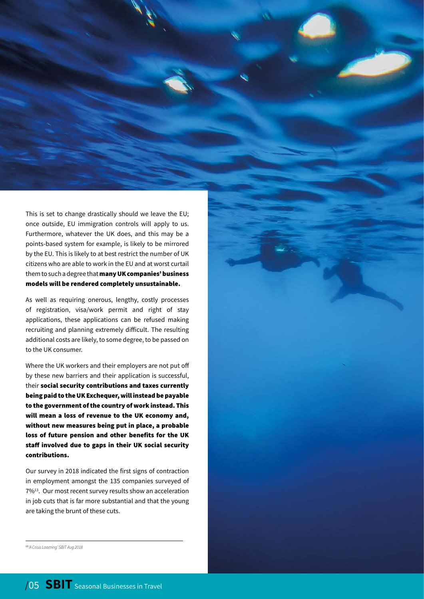This is set to change drastically should we leave the EU; once outside, EU immigration controls will apply to us. Furthermore, whatever the UK does, and this may be a points-based system for example, is likely to be mirrored by the EU. This is likely to at best restrict the number of UK citizens who are able to work in the EU and at worst curtail them to such a degree that many UK companies' business models will be rendered completely unsustainable.

As well as requiring onerous, lengthy, costly processes of registration, visa/work permit and right of stay applications, these applications can be refused making recruiting and planning extremely difficult. The resulting additional costs are likely, to some degree, to be passed on to the UK consumer.

Where the UK workers and their employers are not put off by these new barriers and their application is successful, their social security contributions and taxes currently being paid to the UK Exchequer, will instead be payable to the government of the country of work instead. This will mean a loss of revenue to the UK economy and, without new measures being put in place, a probable loss of future pension and other benefits for the UK staff involved due to gaps in their UK social security contributions.

Our survey in 2018 indicated the first signs of contraction in employment amongst the 135 companies surveyed of 7%13. Our most recent survey results show an acceleration in job cuts that is far more substantial and that the young are taking the brunt of these cuts.

13 *'A Crisis Looming' SBIT Aug 2018*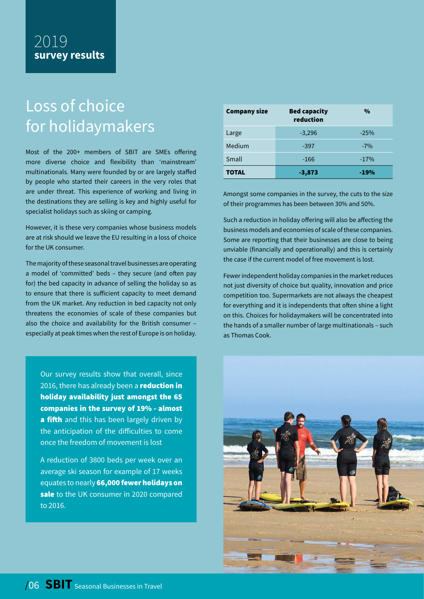# Loss of choice for holidaymakers

Most of the 200+ members of SBIT are SMEs offering more diverse choice and flexibility than 'mainstream' multinationals. Many were founded by or are largely staffed by people who started their careers in the very roles that are under threat. This experience of working and living in the destinations they are selling is key and highly useful for specialist holidays such as skiing or camping.

However, it is these very companies whose business models are at risk should we leave the EU resulting in a loss of choice for the UK consumer.

The majority of these seasonal travel businesses are operating a model of 'committed' beds – they secure (and often pay for) the bed capacity in advance of selling the holiday so as to ensure that there is sufficient capacity to meet demand from the UK market. Any reduction in bed capacity not only threatens the economies of scale of these companies but also the choice and availability for the British consumer – especially at peak times when the rest of Europe is on holiday.

Our survey results show that overall, since 2016, there has already been a reduction in holiday availability just amongst the 65 companies in the survey of 19% - almost a fifth and this has been largely driven by the anticipation of the difficulties to come once the freedom of movement is lost

A reduction of 3800 beds per week over an average ski season for example of 17 weeks equates to nearly 66,000 fewer holidays on sale to the UK consumer in 2020 compared to 2016.

| <b>Company size</b> | <b>Bed capacity</b><br>reduction | $\frac{0}{0}$ |
|---------------------|----------------------------------|---------------|
| Large               | $-3,296$                         | $-25%$        |
| Medium              | $-397$                           | $-7%$         |
| Small               | $-166$                           | $-17%$        |
| <b>TOTAL</b>        | $-3,873$                         | $-19%$        |

Amongst some companies in the survey, the cuts to the size of their programmes has been between 30% and 50%.

Such a reduction in holiday offering will also be affecting the business models and economies of scale of these companies. Some are reporting that their businesses are close to being unviable (financially and operationally) and this is certainly the case if the current model of free movement is lost.

Fewer independent holiday companies in the market reduces not just diversity of choice but quality, innovation and price competition too. Supermarkets are not always the cheapest for everything and it is independents that often shine a light on this. Choices for holidaymakers will be concentrated into the hands of a smaller number of large multinationals – such as Thomas Cook.

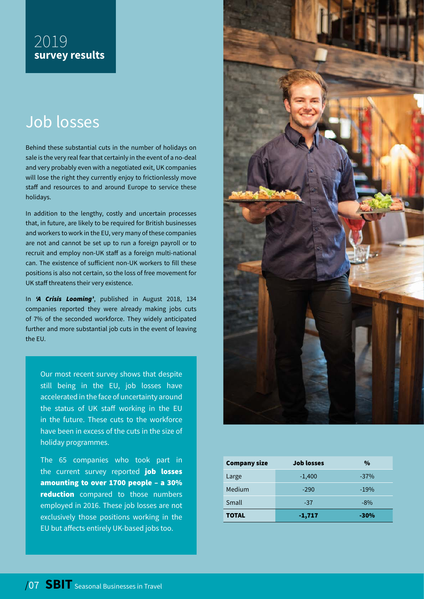### Job losses

Behind these substantial cuts in the number of holidays on sale is the very real fear that certainly in the event of a no-deal and very probably even with a negotiated exit, UK companies will lose the right they currently enjoy to frictionlessly move staff and resources to and around Europe to service these holidays.

In addition to the lengthy, costly and uncertain processes that, in future, are likely to be required for British businesses and workers to work in the EU, very many of these companies are not and cannot be set up to run a foreign payroll or to recruit and employ non-UK staff as a foreign multi-national can. The existence of sufficient non-UK workers to fill these positions is also not certain, so the loss of free movement for UK staff threatens their very existence.

In *'A Crisis Looming'*, published in August 2018, 134 companies reported they were already making jobs cuts of 7% of the seconded workforce. They widely anticipated further and more substantial job cuts in the event of leaving the EU.

Our most recent survey shows that despite still being in the EU, job losses have accelerated in the face of uncertainty around the status of UK staff working in the EU in the future. These cuts to the workforce have been in excess of the cuts in the size of holiday programmes.

The 65 companies who took part in the current survey reported job losses amounting to over 1700 people – a 30% reduction compared to those numbers employed in 2016. These job losses are not exclusively those positions working in the EU but affects entirely UK-based jobs too.



| <b>Company size</b> | <b>Job losses</b> | %      |
|---------------------|-------------------|--------|
| Large               | $-1,400$          | $-37%$ |
| Medium              | $-290$            | $-19%$ |
| Small               | $-37$             | $-8\%$ |
| TOTAL               | $-1,717$          | $-30%$ |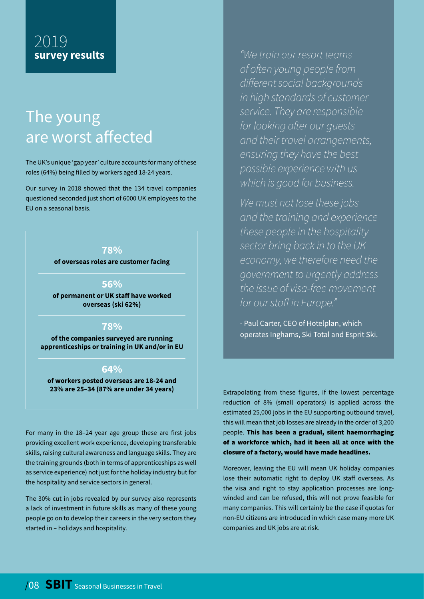## The young are worst affected

The UK's unique 'gap year' culture accounts for many of these roles (64%) being filled by workers aged 18-24 years.

Our survey in 2018 showed that the 134 travel companies questioned seconded just short of 6000 UK employees to the EU on a seasonal basis.

#### **78%**

**of overseas roles are customer facing**

#### **56%**

**of permanent or UK staff have worked overseas (ski 62%)**

#### **78%**

**of the companies surveyed are running apprenticeships or training in UK and/or in EU**

#### **64%**

**of workers posted overseas are 18-24 and 23% are 25–34 (87% are under 34 years)**

For many in the 18–24 year age group these are first jobs providing excellent work experience, developing transferable skills, raising cultural awareness and language skills. They are the training grounds (both in terms of apprenticeships as well as service experience) not just for the holiday industry but for the hospitality and service sectors in general.

The 30% cut in jobs revealed by our survey also represents a lack of investment in future skills as many of these young people go on to develop their careers in the very sectors they started in – holidays and hospitality.

*"We train our resort teams of often young people from different social backgrounds in high standards of customer service. They are responsible for looking after our guests and their travel arrangements, ensuring they have the best possible experience with us which is good for business.* 

*We must not lose these jobs and the training and experience these people in the hospitality sector bring back in to the UK economy, we therefore need the government to urgently address the issue of visa-free movement for our staff in Europe."*

- Paul Carter, CEO of Hotelplan, which operates Inghams, Ski Total and Esprit Ski.

Extrapolating from these figures, if the lowest percentage reduction of 8% (small operators) is applied across the estimated 25,000 jobs in the EU supporting outbound travel, this will mean that job losses are already in the order of 3,200 people. This has been a gradual, silent haemorrhaging of a workforce which, had it been all at once with the closure of a factory, would have made headlines.

Moreover, leaving the EU will mean UK holiday companies lose their automatic right to deploy UK staff overseas. As the visa and right to stay application processes are longwinded and can be refused, this will not prove feasible for many companies. This will certainly be the case if quotas for non-EU citizens are introduced in which case many more UK companies and UK jobs are at risk.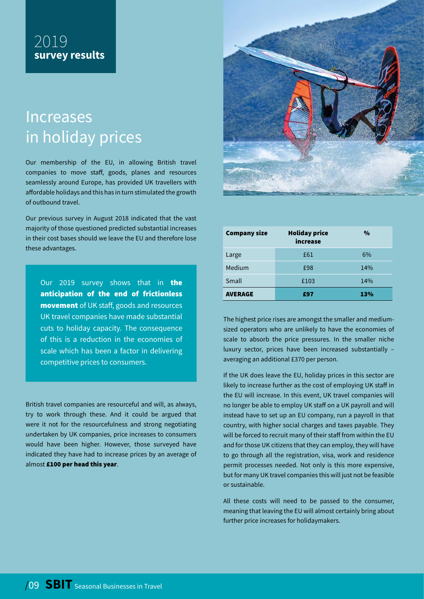# Increases in holiday prices

Our membership of the EU, in allowing British travel companies to move staff, goods, planes and resources seamlessly around Europe, has provided UK travellers with affordable holidays and this has in turn stimulated the growth of outbound travel.

Our previous survey in August 2018 indicated that the vast majority of those questioned predicted substantial increases in their cost bases should we leave the EU and therefore lose these advantages.

Our 2019 survey shows that in **the** anticipation of the end of frictionless movement of UK staff, goods and resources UK travel companies have made substantial cuts to holiday capacity. The consequence of this is a reduction in the economies of scale which has been a factor in delivering competitive prices to consumers.

British travel companies are resourceful and will, as always, try to work through these. And it could be argued that were it not for the resourcefulness and strong negotiating undertaken by UK companies, price increases to consumers would have been higher. However, those surveyed have indicated they have had to increase prices by an average of almost £100 per head this year.



| <b>Company size</b> | <b>Holiday price</b><br>increase | $\frac{0}{0}$ |
|---------------------|----------------------------------|---------------|
| Large               | £61                              | 6%            |
| Medium              | £98                              | 14%           |
| Small               | £103                             | 14%           |
| <b>AVERAGE</b>      | £97                              | 13%           |

The highest price rises are amongst the smaller and mediumsized operators who are unlikely to have the economies of scale to absorb the price pressures. In the smaller niche luxury sector, prices have been increased substantially – averaging an additional £370 per person.

If the UK does leave the EU, holiday prices in this sector are likely to increase further as the cost of employing UK staff in the EU will increase. In this event, UK travel companies will no longer be able to employ UK staff on a UK payroll and will instead have to set up an EU company, run a payroll in that country, with higher social charges and taxes payable. They will be forced to recruit many of their staff from within the EU and for those UK citizens that they can employ, they will have to go through all the registration, visa, work and residence permit processes needed. Not only is this more expensive, but for many UK travel companies this will just not be feasible or sustainable.

All these costs will need to be passed to the consumer, meaning that leaving the EU will almost certainly bring about further price increases for holidaymakers.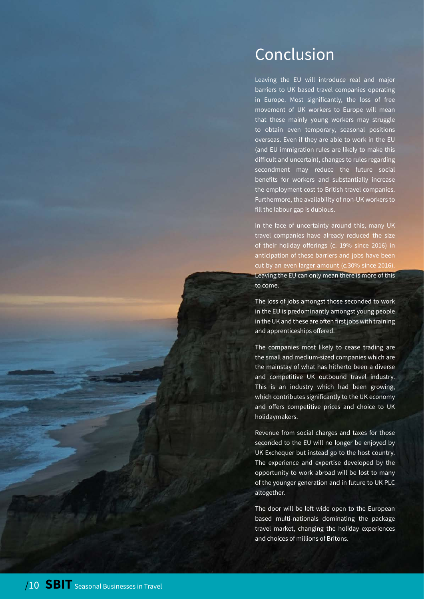### Conclusion

Leaving the EU will introduce real and major barriers to UK based travel companies operating in Europe. Most significantly, the loss of free movement of UK workers to Europe will mean that these mainly young workers may struggle to obtain even temporary, seasonal positions overseas. Even if they are able to work in the EU (and EU immigration rules are likely to make this difficult and uncertain), changes to rules regarding secondment may reduce the future social benefits for workers and substantially increase the employment cost to British travel companies. Furthermore, the availability of non-UK workers to fill the labour gap is dubious.

In the face of uncertainty around this, many UK travel companies have already reduced the size of their holiday offerings (c. 19% since 2016) in anticipation of these barriers and jobs have been cut by an even larger amount (c.30% since 2016). Leaving the EU can only mean there is more of this to come.

The loss of jobs amongst those seconded to work in the EU is predominantly amongst young people in the UK and these are often first jobs with training and apprenticeships offered.

The companies most likely to cease trading are the small and medium-sized companies which are the mainstay of what has hitherto been a diverse and competitive UK outbound travel industry. This is an industry which had been growing, which contributes significantly to the UK economy and offers competitive prices and choice to UK holidaymakers.

Revenue from social charges and taxes for those seconded to the EU will no longer be enjoyed by UK Exchequer but instead go to the host country. The experience and expertise developed by the opportunity to work abroad will be lost to many of the younger generation and in future to UK PLC altogether.

The door will be left wide open to the European based multi-nationals dominating the package travel market, changing the holiday experiences and choices of millions of Britons.